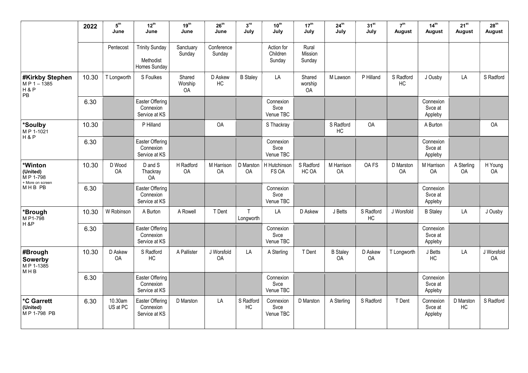|                                                                                | 2022  | 5 <sup>th</sup><br>June | $12^{\text{th}}$<br>June                           | 19 <sup>th</sup><br>June | $26^{\text{th}}$<br>June | 3 <sup>rd</sup><br>July | $10^{\text{th}}$<br>July          | 17 <sup>th</sup><br>July   | $24^{\text{th}}$<br>July | $31^{st}$<br>July | 7 <sup>th</sup><br><b>August</b> | 14 <sup>th</sup><br><b>August</b> | $21^{st}$<br><b>August</b> | 28 <sup>th</sup><br>August |
|--------------------------------------------------------------------------------|-------|-------------------------|----------------------------------------------------|--------------------------|--------------------------|-------------------------|-----------------------------------|----------------------------|--------------------------|-------------------|----------------------------------|-----------------------------------|----------------------------|----------------------------|
|                                                                                |       | Pentecost               | <b>Trinity Sunday</b><br>Methodist<br>Homes Sunday | Sanctuary<br>Sunday      | Conference<br>Sunday     |                         | Action for<br>Children<br>Sunday  | Rural<br>Mission<br>Sunday |                          |                   |                                  |                                   |                            |                            |
| <b>#Kirkby Stephen</b><br>$MP 1 - 1385$<br>H & P<br>$\ensuremath{\mathsf{PB}}$ | 10.30 | T Longworth             | S Foulkes                                          | Shared<br>Worship<br>OA  | D Askew<br>HC            | <b>B</b> Staley         | LA                                | Shared<br>worship<br>OA    | M Lawson                 | P Hilland         | S Radford<br>HC                  | J Ousby                           | LA                         | S Radford                  |
|                                                                                | 6.30  |                         | Easter Offering<br>Connexion<br>Service at KS      |                          |                          |                         | Connexion<br>Svce<br>Venue TBC    |                            |                          |                   |                                  | Connexion<br>Svce at<br>Appleby   |                            |                            |
| *Soulby<br>MP 1-1021                                                           | 10.30 |                         | P Hilland                                          |                          | OA                       |                         | S Thackray                        |                            | S Radford<br>HC          | <b>OA</b>         |                                  | A Burton                          |                            | <b>OA</b>                  |
| H&P                                                                            | 6.30  |                         | Easter Offering<br>Connexion<br>Service at KS      |                          |                          |                         | Connexion<br>Svce<br>Venue TBC    |                            |                          |                   |                                  | Connexion<br>Svce at<br>Appleby   |                            |                            |
| *Winton<br>(United)<br>M P 1-798<br>+ More on screen                           | 10.30 | D Wood<br>OA            | D and S<br>Thackray<br>OA                          | H Radford<br>OA          | M Harrison<br>OA         | OA                      | D Marston   H Hutchinson<br>FS OA | S Radford<br>HC OA         | M Harrison<br><b>OA</b>  | OA FS             | D Marston<br>OA                  | M Harrison<br>OA                  | A Sterling<br>OA           | H Young<br>OA              |
| MHB PB                                                                         | 6.30  |                         | Easter Offering<br>Connexion<br>Service at KS      |                          |                          |                         | Connexion<br>Svce<br>Venue TBC    |                            |                          |                   |                                  | Connexion<br>Svce at<br>Appleby   |                            |                            |
| *Brough<br>M P1-798<br>$H$ &P                                                  | 10.30 | W Robinson              | A Burton                                           | A Rowell                 | T Dent                   | T.<br>Longworth         | LA                                | D Askew                    | J Betts                  | S Radford<br>HC   | J Worsfold                       | <b>B</b> Staley                   | LA                         | J Ousby                    |
|                                                                                | 6.30  |                         | Easter Offering<br>Connexion<br>Service at KS      |                          |                          |                         | Connexion<br>Svce<br>Venue TBC    |                            |                          |                   |                                  | Connexion<br>Svce at<br>Appleby   |                            |                            |
| #Brough<br>Sowerby<br>MP 1-1385<br>M H B                                       | 10.30 | D Askew<br>OA           | S Radford<br>HC                                    | A Pallister              | J Worsfold<br>OA         | LA                      | A Sterling                        | T Dent                     | <b>B</b> Staley<br>OA    | D Askew<br>OA     | T Longworth                      | J Betts<br>HC                     | LA                         | J Worsfold<br>OA           |
|                                                                                | 6.30  |                         | Easter Offering<br>Connexion<br>Service at KS      |                          |                          |                         | Connexion<br>Svce<br>Venue TBC    |                            |                          |                   |                                  | Connexion<br>Svce at<br>Appleby   |                            |                            |
| <b>*C Garrett</b><br>(United)<br>M P 1-798 PB                                  | 6.30  | 10.30am<br>US at PC     | Easter Offering<br>Connexion<br>Service at KS      | D Marston                | LA                       | S Radford<br>HC         | Connexion<br>Svce<br>Venue TBC    | D Marston                  | A Sterling               | S Radford         | T Dent                           | Connexion<br>Svce at<br>Appleby   | D Marston<br>HC            | S Radford                  |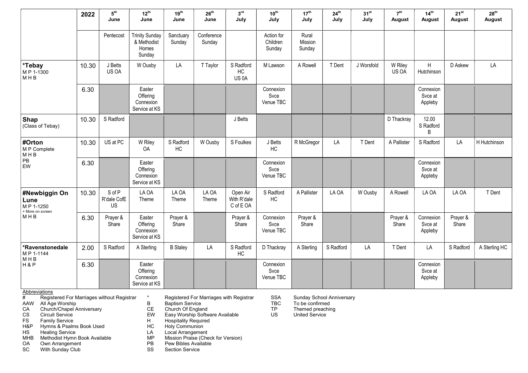|                                                               | 2022  | $5^{\text{th}}$<br>June     | $12^{\text{th}}$<br>June                                | 19 <sup>th</sup><br>June | 26 <sup>th</sup><br>June | 3 <sup>rd</sup><br>July              | $10^{\text{th}}$<br>July         | 17 <sup>th</sup><br>July   | 24 <sup>th</sup><br>July | 31 <sup>st</sup><br>July | 7 <sup>th</sup><br><b>August</b> | 14 <sup>th</sup><br>August      | $21^{st}$<br>August | 28 <sup>th</sup><br>August |
|---------------------------------------------------------------|-------|-----------------------------|---------------------------------------------------------|--------------------------|--------------------------|--------------------------------------|----------------------------------|----------------------------|--------------------------|--------------------------|----------------------------------|---------------------------------|---------------------|----------------------------|
|                                                               |       | Pentecost                   | <b>Trinity Sunday</b><br>& Methodist<br>Homes<br>Sunday | Sanctuary<br>Sunday      | Conference<br>Sunday     |                                      | Action for<br>Children<br>Sunday | Rural<br>Mission<br>Sunday |                          |                          |                                  |                                 |                     |                            |
| *Tebay<br>MP 1-1300<br>MHB                                    | 10.30 | J Betts<br>US OA            | W Ousby                                                 | LA                       | T Taylor                 | S Radford<br>HC<br>US <sub>0</sub> A | M Lawson                         | A Rowell                   | T Dent                   | J Worsfold               | W Riley<br>US OA                 | $\sf H$<br>Hutchinson           | D Askew             | LA                         |
|                                                               | 6.30  |                             | Easter<br>Offering<br>Connexion<br>Service at KS        |                          |                          |                                      | Connexion<br>Svce<br>Venue TBC   |                            |                          |                          |                                  | Connexion<br>Svce at<br>Appleby |                     |                            |
| Shap<br>(Class of Tebay)                                      | 10.30 | S Radford                   |                                                         |                          |                          | J Betts                              |                                  |                            |                          |                          | D Thackray                       | 12.00<br>S Radford<br>B         |                     |                            |
| #Orton<br>M P Complete<br>MHB<br>PB<br>EW                     | 10.30 | US at PC                    | W Riley<br>OA                                           | S Radford<br>HC          | W Ousby                  | S Foulkes                            | J Betts<br>HC                    | R McGregor                 | LA                       | T Dent                   | A Pallister                      | S Radford                       | LA                  | H Hutchinson               |
|                                                               | 6.30  |                             | Easter<br>Offering<br>Connexion<br>Service at KS        |                          |                          |                                      | Connexion<br>Svce<br>Venue TBC   |                            |                          |                          |                                  | Connexion<br>Svce at<br>Appleby |                     |                            |
| #Newbiggin On<br>Lune<br>MP 1-1250<br>+ More on screen<br>MHB | 10.30 | S of P<br>R'dale CofE<br>US | LA OA<br>Theme                                          | LA OA<br>Theme           | LA OA<br>Theme           | Open Air<br>With R'dale<br>C of E OA | S Radford<br>HC                  | A Pallister                | LA OA                    | W Ousby                  | A Rowell                         | LA OA                           | LA OA               | T Dent                     |
|                                                               | 6.30  | Prayer &<br>Share           | Easter<br>Offering<br>Connexion<br>Service at KS        | Prayer &<br>Share        |                          | Prayer &<br>Share                    | Connexion<br>Svce<br>Venue TBC   | Prayer &<br>Share          |                          |                          | Prayer &<br>Share                | Connexion<br>Svce at<br>Appleby | Prayer &<br>Share   |                            |
| *Ravenstonedale<br>MP 1-1144<br><b>MHB</b><br>H&P             | 2.00  | S Radford                   | A Sterling                                              | <b>B</b> Staley          | LA                       | S Radford<br>HC                      | D Thackray                       | A Sterling                 | S Radford                | LA                       | T Dent                           | LA                              | S Radford           | A Sterling HC              |
|                                                               | 6.30  |                             | Easter<br>Offering<br>Connexion<br>Service at KS        |                          |                          |                                      | Connexion<br>Svce<br>Venue TBC   |                            |                          |                          |                                  | Connexion<br>Svce at<br>Appleby |                     |                            |

## **Abbreviations**

- # Registered For Marriages without Registrar \* Registered For Marriages with Registrar SSA Sunday School Anniversary
- 
- CA Church/Chapel Anniversary CE Church Of England TP Themed preaching
- 
- 
- HS Healing Service LA Local Arrangement
- 
- 
- SC With Sunday Club SS Section Service
- 
- 
- 
- CS Circuit Service EW Easy Worship Software Available US United Service
- FS Family Service **H** Hospitality Required<br>
H&P Hymns & Psalms Book Used **HC Holy Communion**
- H&P Hymns & Psalms Book Used **HC Holy Communion** 
	-
- Marting Scriptinus and the Control of the Control of the Control of the Mission Praise (Check for Version)<br>MHB Methodist Hymn Book Available MP Mission Praise (Check for Version)<br>OA Own Arrangement PB Pew Bibles Available
	- PB Pew Bibles Available<br>SS Section Service
	-
- 
- AAW All Age Worship B Baptism Service TBC To be confirmed
	-
	-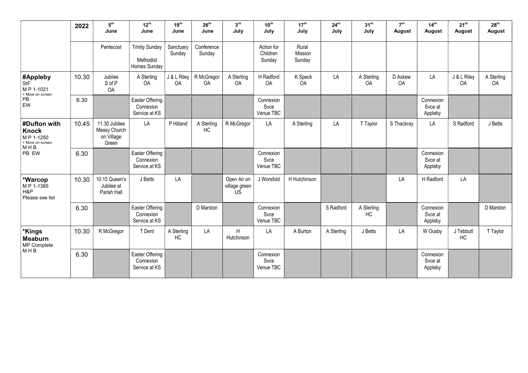|                                                                               | 2022  | ${\bf 5}^{\rm th}$<br>June                           | $12^{\text{th}}$<br>June                           | 19 <sup>th</sup><br>June | 26 <sup>th</sup><br>June | 3 <sup>rd</sup><br>July            | $10^{\text{th}}$<br>July         | 17 <sup>th</sup><br>July   | 24 <sup>th</sup><br>July | 31 <sup>st</sup><br>July | 7 <sup>th</sup><br>August | 14 <sup>th</sup><br>August      | $21^{st}$<br>August | 28 <sup>th</sup><br>August |
|-------------------------------------------------------------------------------|-------|------------------------------------------------------|----------------------------------------------------|--------------------------|--------------------------|------------------------------------|----------------------------------|----------------------------|--------------------------|--------------------------|---------------------------|---------------------------------|---------------------|----------------------------|
|                                                                               |       | Pentecost                                            | <b>Trinity Sunday</b><br>Methodist<br>Homes Sunday | Sanctuary<br>Sunday      | Conference<br>Sunday     |                                    | Action for<br>Children<br>Sunday | Rural<br>Mission<br>Sunday |                          |                          |                           |                                 |                     |                            |
| #Appleby<br><b>StF</b><br>MP 1-1021<br>+ More on screen<br>PB<br>EW           | 10.30 | Jubilee<br>S of P<br>OA                              | A Sterling<br>OA                                   | J & L Riley<br>OA        | R McGregor<br>OA         | A Sterling<br>OA                   | H Radford<br>OA                  | K Speck<br>OA              | LA                       | A Sterling<br>OA         | D Askew<br>OA             | LA                              | J & L Riley<br>OA   | A Sterling<br>OA           |
|                                                                               | 6.30  |                                                      | Easter Offering<br>Connexion<br>Service at KS      |                          |                          |                                    | Connexion<br>Svce<br>Venue TBC   |                            |                          |                          |                           | Connexion<br>Svce at<br>Appleby |                     |                            |
| #Dufton with<br><b>Knock</b><br>MP 1-1250<br>+ More on screen<br>MHB<br>PB EW | 10.45 | 11.30 Jubilee<br>Messy Church<br>on Village<br>Green | LA                                                 | P Hilland                | A Sterling<br>HC         | R McGregor                         | LA                               | A Sterling                 | LA                       | T Taylor                 | S Thackray                | LA                              | S Radford           | J Betts                    |
|                                                                               | 6.30  |                                                      | Easter Offering<br>Connexion<br>Service at KS      |                          |                          |                                    | Connexion<br>Svce<br>Venue TBC   |                            |                          |                          |                           | Connexion<br>Svce at<br>Appleby |                     |                            |
| *Warcop<br>M P 1-1385<br>H&P<br>Please see list                               | 10.30 | 10.15 Queen's<br>Jubilee at<br>Parish Hall           | J Betts                                            | LA                       |                          | Open Air on<br>village green<br>US | J Worsfold                       | H Hutchinson               |                          |                          | LA                        | H Radford                       | LA                  |                            |
|                                                                               | 6.30  |                                                      | Easter Offering<br>Connexion<br>Service at KS      |                          | D Marston                |                                    | Connexion<br>Svce<br>Venue TBC   |                            | S Radford                | A Sterling<br>HC         |                           | Connexion<br>Svce at<br>Appleby |                     | D Marston                  |
| *Kings<br><b>Meaburn</b><br>MP Complete<br>MHB                                | 10.30 | R McGregor                                           | T Dent                                             | A Sterling<br>HC         | LA                       | H<br>Hutchinson                    | LA                               | A Burton                   | A Sterling               | J Betts                  | LA                        | W Ousby                         | J Tebbutt<br>HC     | T Taylor                   |
|                                                                               | 6.30  |                                                      | Easter Offering<br>Connexion<br>Service at KS      |                          |                          |                                    | Connexion<br>Svce<br>Venue TBC   |                            |                          |                          |                           | Connexion<br>Svce at<br>Appleby |                     |                            |